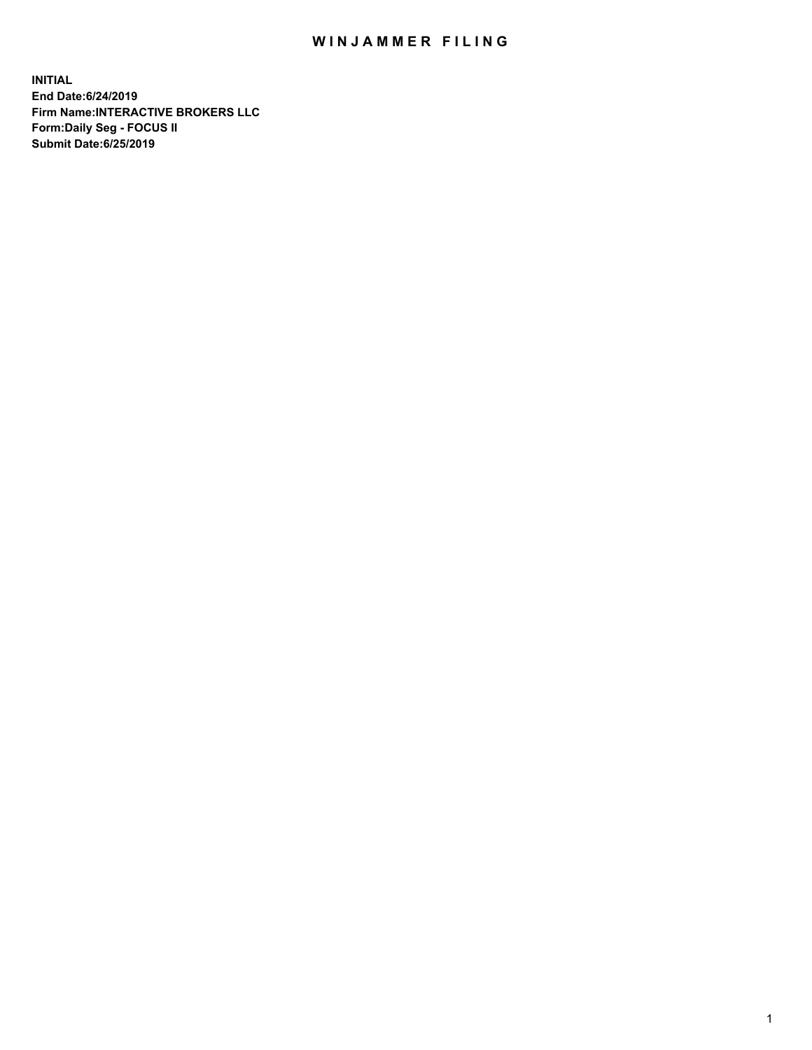## WIN JAMMER FILING

**INITIAL End Date:6/24/2019 Firm Name:INTERACTIVE BROKERS LLC Form:Daily Seg - FOCUS II Submit Date:6/25/2019**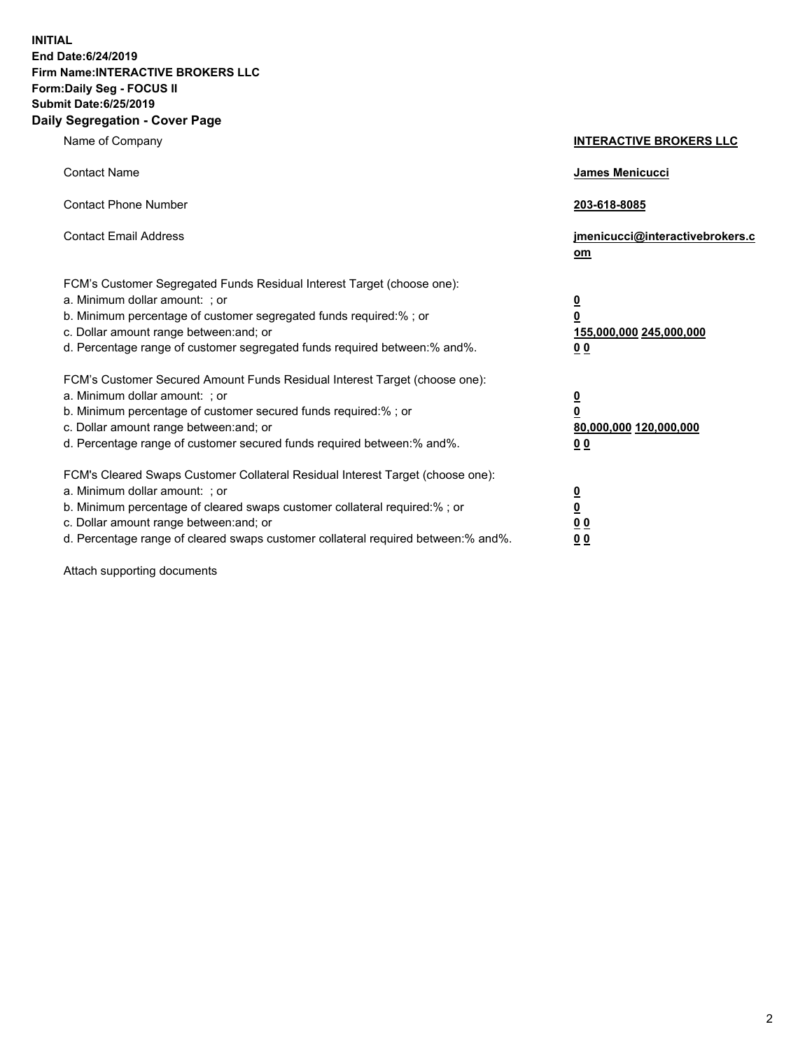**INITIAL End Date:6/24/2019 Firm Name:INTERACTIVE BROKERS LLC Form:Daily Seg - FOCUS II Submit Date:6/25/2019 Daily Segregation - Cover Page**

| Name of Company                                                                                                                                                                                                                                                                                                                | <b>INTERACTIVE BROKERS LLC</b>                                                                  |
|--------------------------------------------------------------------------------------------------------------------------------------------------------------------------------------------------------------------------------------------------------------------------------------------------------------------------------|-------------------------------------------------------------------------------------------------|
| <b>Contact Name</b>                                                                                                                                                                                                                                                                                                            | James Menicucci                                                                                 |
| <b>Contact Phone Number</b>                                                                                                                                                                                                                                                                                                    | 203-618-8085                                                                                    |
| <b>Contact Email Address</b>                                                                                                                                                                                                                                                                                                   | jmenicucci@interactivebrokers.c<br>om                                                           |
| FCM's Customer Segregated Funds Residual Interest Target (choose one):<br>a. Minimum dollar amount: ; or<br>b. Minimum percentage of customer segregated funds required:% ; or<br>c. Dollar amount range between: and; or<br>d. Percentage range of customer segregated funds required between:% and%.                         | $\overline{\mathbf{0}}$<br>$\overline{\mathbf{0}}$<br>155,000,000 245,000,000<br>0 <sub>0</sub> |
| FCM's Customer Secured Amount Funds Residual Interest Target (choose one):<br>a. Minimum dollar amount: ; or<br>b. Minimum percentage of customer secured funds required:% ; or<br>c. Dollar amount range between: and; or<br>d. Percentage range of customer secured funds required between:% and%.                           | $\overline{\mathbf{0}}$<br>0<br>80,000,000 120,000,000<br>0 <sub>0</sub>                        |
| FCM's Cleared Swaps Customer Collateral Residual Interest Target (choose one):<br>a. Minimum dollar amount: ; or<br>b. Minimum percentage of cleared swaps customer collateral required:% ; or<br>c. Dollar amount range between: and; or<br>d. Percentage range of cleared swaps customer collateral required between:% and%. | $\overline{\mathbf{0}}$<br><u>0</u><br>$\underline{0}$ $\underline{0}$<br>00                    |

Attach supporting documents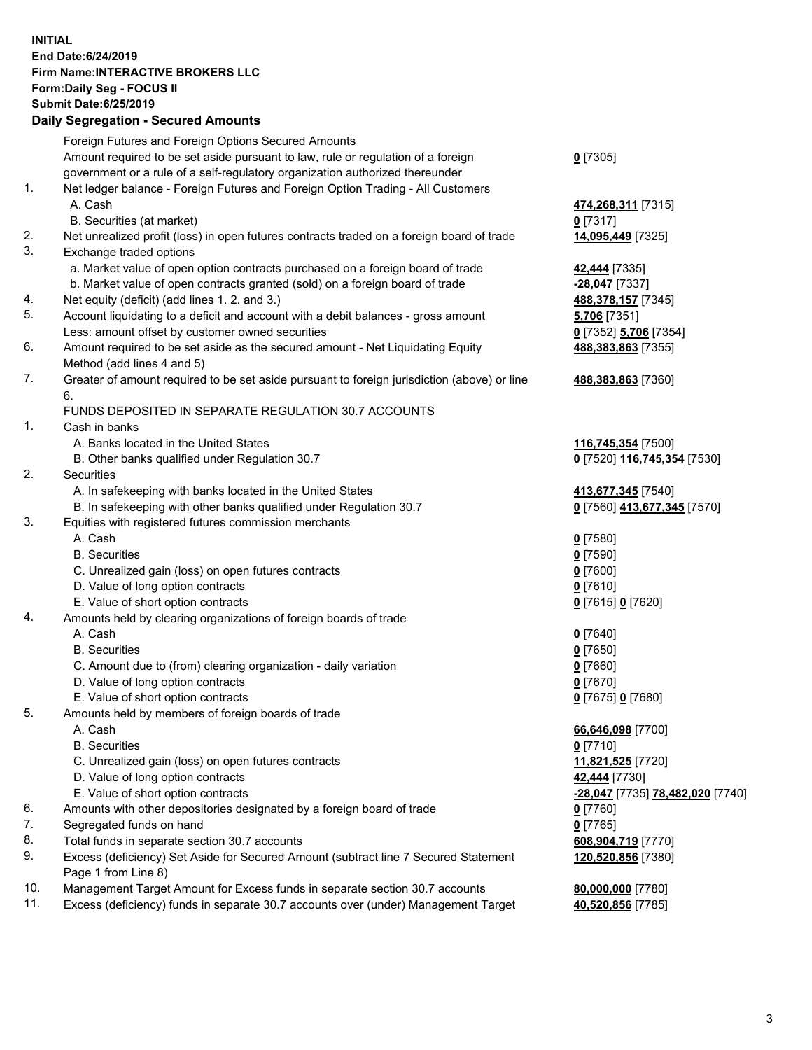## **INITIAL End Date:6/24/2019 Firm Name:INTERACTIVE BROKERS LLC Form:Daily Seg - FOCUS II Submit Date:6/25/2019 Daily Segregation - Secured Amounts**

|                | Dany Segregation - Secured Announts                                                         |                                                   |
|----------------|---------------------------------------------------------------------------------------------|---------------------------------------------------|
|                | Foreign Futures and Foreign Options Secured Amounts                                         |                                                   |
|                | Amount required to be set aside pursuant to law, rule or regulation of a foreign            | $0$ [7305]                                        |
|                | government or a rule of a self-regulatory organization authorized thereunder                |                                                   |
| $\mathbf{1}$ . | Net ledger balance - Foreign Futures and Foreign Option Trading - All Customers             |                                                   |
|                | A. Cash                                                                                     | 474,268,311 [7315]                                |
|                | B. Securities (at market)                                                                   | $0$ [7317]                                        |
| 2.             | Net unrealized profit (loss) in open futures contracts traded on a foreign board of trade   | 14,095,449 [7325]                                 |
| 3.             | Exchange traded options                                                                     |                                                   |
|                | a. Market value of open option contracts purchased on a foreign board of trade              | 42,444 [7335]                                     |
|                | b. Market value of open contracts granted (sold) on a foreign board of trade                | -28,047 [7337]                                    |
| 4.             | Net equity (deficit) (add lines 1. 2. and 3.)                                               | 488,378,157 [7345]                                |
| 5.             | Account liquidating to a deficit and account with a debit balances - gross amount           | 5,706 [7351]                                      |
|                | Less: amount offset by customer owned securities                                            | 0 [7352] 5,706 [7354]                             |
| 6.             | Amount required to be set aside as the secured amount - Net Liquidating Equity              | 488,383,863 [7355]                                |
|                | Method (add lines 4 and 5)                                                                  |                                                   |
| 7.             | Greater of amount required to be set aside pursuant to foreign jurisdiction (above) or line | 488,383,863 [7360]                                |
|                | 6.                                                                                          |                                                   |
|                | FUNDS DEPOSITED IN SEPARATE REGULATION 30.7 ACCOUNTS                                        |                                                   |
| 1.             | Cash in banks                                                                               |                                                   |
|                | A. Banks located in the United States                                                       | 116,745,354 [7500]                                |
| 2.             | B. Other banks qualified under Regulation 30.7<br><b>Securities</b>                         | 0 [7520] 116,745,354 [7530]                       |
|                | A. In safekeeping with banks located in the United States                                   |                                                   |
|                | B. In safekeeping with other banks qualified under Regulation 30.7                          | 413,677,345 [7540]<br>0 [7560] 413,677,345 [7570] |
| 3.             | Equities with registered futures commission merchants                                       |                                                   |
|                | A. Cash                                                                                     | $0$ [7580]                                        |
|                | <b>B.</b> Securities                                                                        | $0$ [7590]                                        |
|                | C. Unrealized gain (loss) on open futures contracts                                         | $0$ [7600]                                        |
|                | D. Value of long option contracts                                                           | $0$ [7610]                                        |
|                | E. Value of short option contracts                                                          | 0 [7615] 0 [7620]                                 |
| 4.             | Amounts held by clearing organizations of foreign boards of trade                           |                                                   |
|                | A. Cash                                                                                     | $0$ [7640]                                        |
|                | <b>B.</b> Securities                                                                        | $0$ [7650]                                        |
|                | C. Amount due to (from) clearing organization - daily variation                             | $0$ [7660]                                        |
|                | D. Value of long option contracts                                                           | $0$ [7670]                                        |
|                | E. Value of short option contracts                                                          | 0 [7675] 0 [7680]                                 |
| 5.             | Amounts held by members of foreign boards of trade                                          |                                                   |
|                | A. Cash                                                                                     | 66,646,098 [7700]                                 |
|                | <b>B.</b> Securities                                                                        | $0$ [7710]                                        |
|                | C. Unrealized gain (loss) on open futures contracts                                         | 11,821,525 [7720]                                 |
|                | D. Value of long option contracts                                                           | 42,444 [7730]                                     |
|                | E. Value of short option contracts                                                          | -28,047 [7735] 78,482,020 [7740]                  |
| 6.             | Amounts with other depositories designated by a foreign board of trade                      | 0 [7760]                                          |
| 7.             | Segregated funds on hand                                                                    | $0$ [7765]                                        |
| 8.             | Total funds in separate section 30.7 accounts                                               | 608,904,719 [7770]                                |
| 9.             | Excess (deficiency) Set Aside for Secured Amount (subtract line 7 Secured Statement         | 120,520,856 [7380]                                |
|                | Page 1 from Line 8)                                                                         |                                                   |
| 10.            | Management Target Amount for Excess funds in separate section 30.7 accounts                 | 80,000,000 [7780]                                 |
| 11.            | Excess (deficiency) funds in separate 30.7 accounts over (under) Management Target          | 40,520,856 [7785]                                 |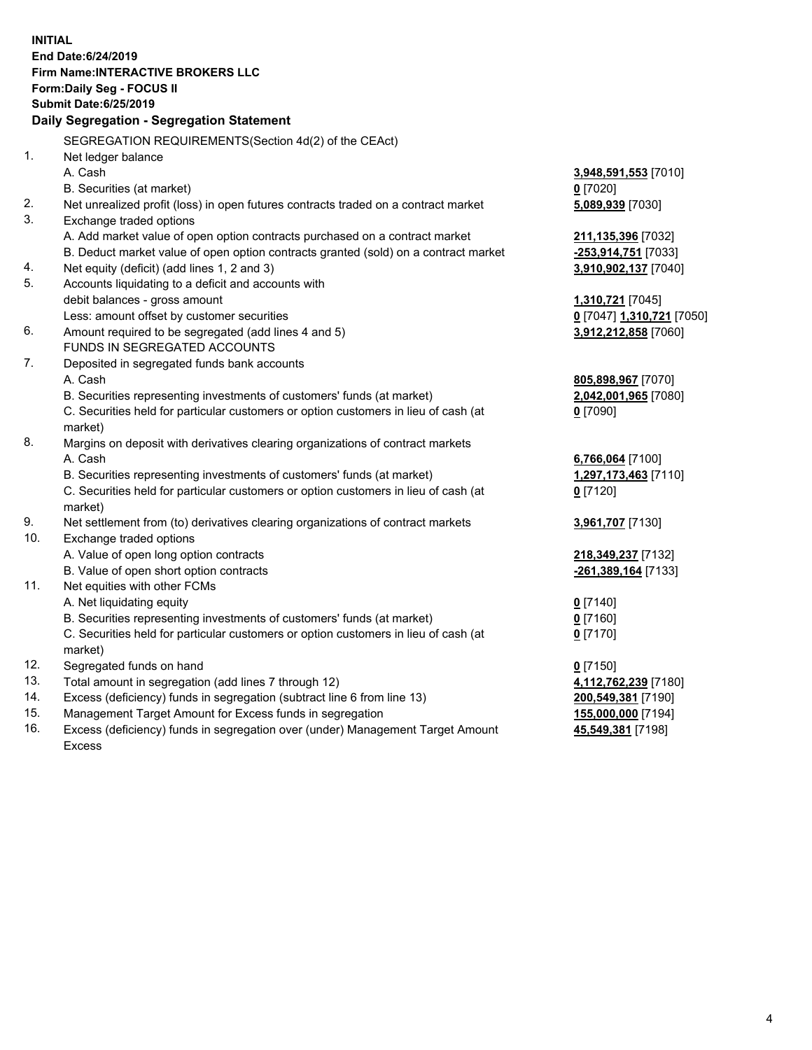**INITIAL End Date:6/24/2019 Firm Name:INTERACTIVE BROKERS LLC Form:Daily Seg - FOCUS II Submit Date:6/25/2019 Daily Segregation - Segregation Statement** SEGREGATION REQUIREMENTS(Section 4d(2) of the CEAct) 1. Net ledger balance A. Cash **3,948,591,553** [7010] B. Securities (at market) **0** [7020] 2. Net unrealized profit (loss) in open futures contracts traded on a contract market **5,089,939** [7030] 3. Exchange traded options A. Add market value of open option contracts purchased on a contract market **211,135,396** [7032] B. Deduct market value of open option contracts granted (sold) on a contract market **-253,914,751** [7033] 4. Net equity (deficit) (add lines 1, 2 and 3) **3,910,902,137** [7040] 5. Accounts liquidating to a deficit and accounts with debit balances - gross amount **1,310,721** [7045] Less: amount offset by customer securities **0** [7047] **1,310,721** [7050] 6. Amount required to be segregated (add lines 4 and 5) **3,912,212,858** [7060] FUNDS IN SEGREGATED ACCOUNTS 7. Deposited in segregated funds bank accounts A. Cash **805,898,967** [7070] B. Securities representing investments of customers' funds (at market) **2,042,001,965** [7080] C. Securities held for particular customers or option customers in lieu of cash (at market) **0** [7090] 8. Margins on deposit with derivatives clearing organizations of contract markets A. Cash **6,766,064** [7100] B. Securities representing investments of customers' funds (at market) **1,297,173,463** [7110] C. Securities held for particular customers or option customers in lieu of cash (at market) **0** [7120] 9. Net settlement from (to) derivatives clearing organizations of contract markets **3,961,707** [7130] 10. Exchange traded options A. Value of open long option contracts **218,349,237** [7132] B. Value of open short option contracts **-261,389,164** [7133] 11. Net equities with other FCMs A. Net liquidating equity **0** [7140] B. Securities representing investments of customers' funds (at market) **0** [7160] C. Securities held for particular customers or option customers in lieu of cash (at market) **0** [7170] 12. Segregated funds on hand **0** [7150] 13. Total amount in segregation (add lines 7 through 12) **4,112,762,239** [7180] 14. Excess (deficiency) funds in segregation (subtract line 6 from line 13) **200,549,381** [7190] 15. Management Target Amount for Excess funds in segregation **155,000,000** [7194]

16. Excess (deficiency) funds in segregation over (under) Management Target Amount Excess

**45,549,381** [7198]